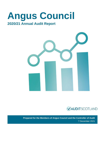# **Angus Council 2020/21 Annual Audit Report**





**Prepared for the Members of Angus Council and the Controller of Audit** 7 December 2021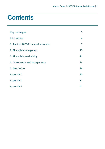# **Contents**

| Key messages                        | 3  |
|-------------------------------------|----|
| <b>Introduction</b>                 | 4  |
| 1. Audit of 2020/21 annual accounts | 7  |
| 2. Financial management             | 15 |
| 3. Financial sustainability         | 21 |
| 4. Governance and transparency      | 24 |
| 5. Best Value                       | 26 |
| <b>Appendix 1</b>                   | 30 |
| <b>Appendix 2</b>                   | 37 |
| <b>Appendix 3</b>                   | 41 |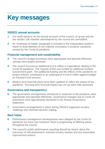# <span id="page-2-0"></span>**Key messages**

# **2020/21 annual accounts**

- **1** Our audit opinions on the annual accounts of the council, its group and the two section 106 charities administered by the council are unmodified.
- **2** An 'emphasis of matter' paragraph is included in the independent auditor's report to draw attention to the material uncertainty in property valuations caused by the Covid-19 pandemic.

# **Financial management and sustainability**

- **3** The council's budget processes were appropriate and planned efficiency savings were largely achieved.
- **4** The council incurred an additional £13.9 million in expenditure relating to the Covid-19 pandemic. The majority of this was funded by additional Scottish Government grant. The additional funding and the effects of the pandemic on project delivery contributed to an underspend of £14.9 million against budget on General Fund services.
- **5** Medium term financial plans have been updated to reflect the impact of the pandemic. The long-term financial impact has not yet been fully assessed.

# **Governance and transparency**

- **6** The governance arrangements introduced in response to the pandemic were appropriate and operated effectively. Governance changes due to Covid-19 restrictions were appropriately disclosed in the Annual Governance **Statement**
- **7** Governance arrangements in place during 2020/21 supported scrutiny, challenge and informed decision making.

# **Best Value**

- **8** Performance management developments were delayed by the Covid-19 pandemic but have now restarted. Work is progressing at differing paces throughout the council.
- **9** The council's public performance reporting should be clearer about the outcomes of self-assessment, external scrutiny reviews and any associated improvement actions.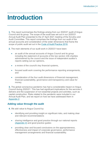# <span id="page-3-0"></span>**Introduction**

**1.** This report summarises the findings arising from our 2020/21 audit of Angus Council and its group. The scope of the audit was set out in our 2020/21 Annual Audit Plan presented to the 27 April 2021 meeting of the Scrutiny and Audit Committee. This report comprises the findings from our audit of the annual accounts and consideration of the wider dimensions that frame the scope of public audit set out in the [Code of Audit Practice 2016.](http://www.audit-scotland.gov.uk/report/code-of-audit-practice-2016)

**2.** The main elements of our audit work in 2020/21 have been:

- an audit of the annual accounts of Angus Council and its group including the statement of accounts of the two section 106 charities administered by the council and the issue of independent auditor's reports setting out our opinions,
- a review of the council's key financial systems,
- focused audit work covering the performance reporting arrangements, and
- consideration of the four audit dimensions of financial management, financial sustainability, governance and transparency and value for money.

**3.** The global coronavirus pandemic has had a considerable impact on Angus Council during 2020/21. This has had significant implications for the services it delivers and the suspension of non-essential projects and activities, such as capital construction. Risks related to the pandemic were included in our Annual Audit Plan, and we report on how we have addressed them in Appendix 2.

# **Adding value through the audit**

- **4.** We add value to Angus Council by:
	- identifying and providing insight on significant risks, and making clear and relevant recommendations
	- sharing intelligence and good practice through our national reports [\(Appendix 4\)](#page-40-0) and good practice guides
	- providing clear and focused conclusions on the appropriateness, effectiveness and impact of corporate governance, performance management arrangements and financial sustainability.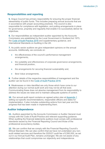# **Responsibilities and reporting**

**5.** Angus Council has primary responsibility for ensuring the proper financial stewardship of public funds. This includes preparing annual accounts that are in accordance with proper accounting practices. The council is also responsible for compliance with legislation, and putting arrangements in place for governance, propriety and regularity that enable it to successfully deliver its objectives.

**6.** Our responsibilities as independent auditor appointed by the Accounts Commission are established by the Local Government in Scotland Act 1973, the [Code of Audit Practice 2016](http://www.audit-scotland.gov.uk/report/code-of-audit-practice-2016) and supplementary guidance, and International Standards on Auditing in the UK.

**7.** As public sector auditors we give independent opinions on the annual accounts. Additionally, we conclude on:

- the effectiveness of the council's performance management arrangements,
- the suitability and effectiveness of corporate governance arrangements, and financial position,
- the arrangements for securing financial sustainability and,
- Best Value arrangements.

**8.** Further details of the respective responsibilities of management and the auditor can be found in the [Code of Audit Practice 2016.](http://www.audit-scotland.gov.uk/report/code-of-audit-practice-2016)

**9.** Weaknesses or risks identified are only those which have come to our attention during our normal audit work and may not be all that exist. Communicating these does not absolve management from its responsibility to address the issues we raise and to maintain adequate systems of control.

**10.** Our annual audit report contains an agreed action plan at [Appendix 1](#page-29-0) setting out specific recommendations, responsible officers and dates for implementation. It also includes outstanding actions from last year and the progress that has been made in implementing them.

# **Auditor Independence**

**11.** Auditors appointed by the Accounts Commission or Auditor General must comply with the Code of Audit Practice and relevant supporting guidance. When auditing the financial statements auditors must comply with professional standards issued by the Financial Reporting Council and those of the professional accountancy bodies.

**12.** We can confirm that we comply with the Financial Reporting Council's Ethical Standard. We can also confirm that we have not undertaken any nonaudit related services and therefore the 2020/21 audit fee of £260,930, as set out in our Annual Audit Plan, remains unchanged. We are not aware of any relationships that could compromise our objectivity and independence.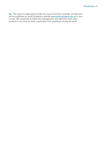**13.** This report is addressed to both the council and the Controller of Audit and will be published on Audit Scotland's website [www.audit-scotland.gov.uk](http://www.audit-scotland.gov.uk/) in due course. We would like to thank the management and staff who have been involved in our work for their cooperation and assistance during the audit.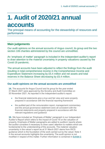# <span id="page-6-0"></span>**1. Audit of 2020/21 annual accounts**

The principal means of accounting for the stewardship of resources and performance

# **Main judgements**

Our audit opinions on the annual accounts of Angus council, its group and the two section 106 charities administered by the council are unmodified.

An 'emphasis of matter' paragraph is included in the independent auditor's report to draw attention to the material uncertainty in property valuations caused by the Covid-19 pandemic.

The annual accounts have been adjusted to reflect the findings from the audit resulting in total comprehensive income in the Comprehensive Income and Expenditure Statement increasing by £5.4 million and net assets and total reserves in the Balance Sheet decreasing by £5.4 million.

# **Our audit opinions on the annual accounts are unmodified**

**14.** The accounts for Angus Council and its group for the year ended 31 March 2021 were approved by the Scrutiny and Audit Committee on 30 November 2021. As reported in the independent auditor's report:

- the financial statements give a true and fair view and were properly prepared in accordance with the financial reporting framework
- the audited part of the remuneration report, management commentary and the annual governance statement were all consistent with the financial statements and properly prepared in accordance with the relevant regulations and guidance

**15.** We have included an 'Emphasis of Matter' paragraph in our Independent Auditor's Report which refers to the impact of Covid-19 on the valuation of property. Emphasis of Matter paragraphs are added to auditors' reports where the auditor considers it necessary to draw users' attention to matters which are fundamental to the understanding of the accounts. The material valuation uncertainty in the valuer's report as at 31 March 2021 stems from RICS guidance which is the foundation of the work carried out by the valuer. Note 4 in the annual accounts highlights the uncertainty. The audit opinion is not modified in respect of this matter. Further information is contained in Exhibit 2.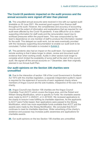### **The Covid-19 pandemic impacted on the audit process and the annual accounts were signed off later than planned**

**16.** The unaudited annual accounts were received in line with our agreed audit timetable on 30 June 2021. We received good support from finance staff throughout the audit. However, the completeness and accuracy of accounting records and the extent of information and explanations that we required for our audit were affected by the Covid-19 pandemic. It was difficult for us to obtain supporting information for staff costs and the remuneration report due to workload pressures within the payroll team. This was compounded by the team's dependence on one member of staff to produce the information needed for the audit. This delayed our audit work, but we were eventually provided with the necessary supporting documentation to enable our audit work to be concluded. Further information is included in [Exhibit 2.](#page-10-0)

**17.** The pandemic also had an impact on the audit team. Our experience of remote working is that it takes longer to obtain, review and document audit evidence than when working onsite. Audits in other sectors took longer to complete which limited the availability of some staff at the start of the council audit. We signed off the annual accounts on 7 December, later than originally planned in our Annual Audit Plan.

### **Our audit opinions on the Section 106 charities were unmodified**

**18.** Due to the interaction of section 106 of the Local Government in Scotland Act 1973 with the charities legislation, a separate independent auditor's report is required for the statement of accounts of each registered charity where members of Angus Council are the sole trustees, irrespective of the size of the charity.

**19.** Angus Council's two Section 106 charities are the Angus Council Charitable Trust (ACCT) which covers the Angus area, and the Robert and William Strang Mortification, which is specific to Forfar. No charitable awards were made by ACCT in 2020/21, or in 2019/20. We reviewed applications to the charity to ensure it was fulfilling its charitable objectives. As the applicants to ACCT were Forfar-based, their applications were passed to the Strang Mortification, which has more expendable funds available than ACCT and the awards were made by the Strang Mortification. We concluded that ACCT continues to meet its charitable objectives. Wider advertising of the charity's existence and purpose may increase public awareness and applications for charitable awards.

**20.** Our audit opinions on the two Section 106 charities are unmodified.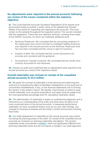# **No adjustments were required to the annual accounts following our review of the issues contained within the statutory objection**

**21.** The Local Authority Accounts (Scotland) Regulations 2014 require local government bodies to publish a public notice on its website that includes details of the period for inspecting and objecting to the accounts. This must remain on the website throughout the inspection period. The council complied with the regulations. There was one objection received, covering three areas of the 2020/21 accounts, for which we undertook additional work:

- Montrose Playhouse: We concluded that the accounting treatment of the capital grant was correct and that no contingent liability disclosure was required in the annual accounts as the Montrose Playhouse work has now been concluded and the venue is open for business;
- Analysis of debt: We concluded that the current disclosures are accurate and consistent with the guidance;
- Accounting for Tayside Contracts: We concluded that the results were correctly accounted for and disclosed.

**22.** Overall our audit work confirmed that no adjustments were required to the annual accounts as a result of the objections raised.

### **Overall materiality was revised on receipt of the unaudited annual accounts to £4.4 million**

**23.** We apply the concept of materiality in both planning and performing the audit and in evaluating the effect of identified misstatement on the audit and of uncorrected misstatements, if any, on the financial statements and in forming the opinion in the auditor's report. We identify a benchmark on which to base overall materiality, such as gross expenditure, and apply what we judge to be the most appropriate percentage level for calculating materiality values.

**24.** The determination of materiality is based on professional judgement and is informed by our understanding of the entity and what users are likely to be most concerned about in the annual accounts. In assessing performance materiality, we have considered factors such as our prior year findings, any changes in business processes and the entity's control environment including fraud risks.

**25.** Our initial assessment of materiality for the annual accounts was carried out during the planning phase of the audit. On receipt of the unaudited annual accounts we reviewed our planning materiality calculations. The revised materiality levels summarised in [Exhibit 1](#page-9-0) were not significantly different from planning materiality levels and did not require a change in our audit approach.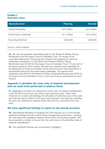### <span id="page-9-0"></span>**Exhibit 1 Materiality values**

| <b>Materiality level</b>   | Planning     | <b>Revised</b> |
|----------------------------|--------------|----------------|
| <b>Overall materiality</b> | £4.0 million | £4.4 million   |
| Performance materiality    | £2.7 million | £2.8 million   |
| Reporting threshold        | £100,000     | £100,000       |
|                            |              |                |

Source: *Audit Scotland*

**26.** We also set separate materiality levels for the Robert & William Strang Mortification and the Angus Council Charitable Trust. On receipt of the unaudited statements of accounts we reviewed and updated our planning materiality calculations, to £23,600 for the Robert & William Strang Mortification and £9,200 for the Angus Council Charitable Trust (1.5 per cent of the gross assets for each charity). We also set a specific area materiality for the Statement of Financial Activities as the level of income and expenditure is significantly lower than the asset-based materiality. The specific area materiality was £920 for the Robert & William Strang Mortification and £230 for the Angus Council Charitable Trust (1.5 per cent of gross expenditure for each charity).

# **Appendix 2 identifies the main risks of material misstatement and our audit work performed to address these**

**27.** Appendix 2 [provides our assessment of the risks of material misstatement](#page-36-0)  [in the annual accounts and any wider audit dimension risks. These risks](#page-36-0)  [influence our overall audit strategy, the allocation of staff resources to the audit](#page-36-0)  [and indicate how the efforts of the team were directed. The appendix identifies](#page-36-0)  [the work we undertook to address these risks and our conclusions from this](#page-36-0)  [work.](#page-36-0) 

### **We have significant findings to report on the annual accounts**

**28.** International Standard on Auditing (UK) 260 requires us to communicate significant findings from the audit to those charged with governance, including our view about the qualitative aspects of the body's accounting practices. We have reported a number of issues from the work done on the identified risks of material misstatement.

**29.** The significant findings are summarised in [Exhibit 2.](#page-10-0)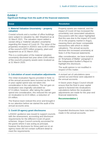# <span id="page-10-0"></span>**Exhibit 2**

# **Significant findings from the audit of the financial statements**

requirements for the different Covid-19 grant schemes. Angus Council correctly accounted for

the grants where it was acting as principal, however the disclosure for those paid out on an agency basis did not contain sufficient detail to

meet the requirements.

| <b>Issue</b>                                                                                                                                                                                                                                                                                                                                                                                                                                                                                                                                                                                | <b>Resolution</b>                                                                                                                                                                                                                                                                                                                                                     |  |
|---------------------------------------------------------------------------------------------------------------------------------------------------------------------------------------------------------------------------------------------------------------------------------------------------------------------------------------------------------------------------------------------------------------------------------------------------------------------------------------------------------------------------------------------------------------------------------------------|-----------------------------------------------------------------------------------------------------------------------------------------------------------------------------------------------------------------------------------------------------------------------------------------------------------------------------------------------------------------------|--|
| 1. Material Valuation Uncertainty - property<br>valuation                                                                                                                                                                                                                                                                                                                                                                                                                                                                                                                                   | Property assets are material, and the<br>impact of Covid-19 has increased the                                                                                                                                                                                                                                                                                         |  |
| Coastal schools and a number of office buildings<br>were subject to valuation by J&E Shepherd as at<br>31 March 2021. The valuation report added a<br>caveat citing a 'material valuation uncertainty'<br>regarding the impact of Covid-19. The value of the<br>properties revalued in 2020/21 was £140.5 million<br>of the council's £870 million property, plant and<br>equipment as at 31 March 2021.<br>This is a continuation of the material valuation<br>uncertainty disclosed last year when £345 million<br>of the council's property assets were revalued as<br>at 31 March 2020. | uncertainty over associated valuations.<br>Discussions with the valuer highlighted<br>that this was due to the impact of Covid-<br>19 on the property market in Angus,<br>meaning there are fewer comparable<br>transactions with which to obtain<br>valuations. The annual accounts<br>disclose this increased uncertainty at<br>Note 4 of the financial statements. |  |
|                                                                                                                                                                                                                                                                                                                                                                                                                                                                                                                                                                                             | After consideration, we have included<br>an 'Emphasis of Matter' paragraph in<br>the Independent Auditor's Report to<br>highlight this disclosure.                                                                                                                                                                                                                    |  |
|                                                                                                                                                                                                                                                                                                                                                                                                                                                                                                                                                                                             | The audit opinion is not modified in<br>respect of this matter.                                                                                                                                                                                                                                                                                                       |  |
| 2. Calculation of asset revaluation adjustments<br>The initial revaluation figures provided in Note 11<br>of the annual accounts were incorrect as the final                                                                                                                                                                                                                                                                                                                                                                                                                                | A revised set of calculations were<br>carried out and these were adjusted in<br>the annual accounts.                                                                                                                                                                                                                                                                  |  |
| in-year capital spend was not taken into<br>consideration in the calculations. The net gain on<br>revaluation was originally calculated as<br>£7.9 million; however, after taking the capital<br>spend into consideration, this reduced the net gain<br>on revaluation to £3.9 million, a reduction of<br>£4 million.                                                                                                                                                                                                                                                                       | In future years Angus Council should<br>ensure that the final in-year capital<br>spend is factored into revaluations<br>calculations before the revaluation<br>adjustments are made for the year-end<br>financial statements.                                                                                                                                         |  |
| The finance team noticed this error and brought it<br>to our attention before we started the audit of the<br>annual accounts area.                                                                                                                                                                                                                                                                                                                                                                                                                                                          | <b>Recommendation 1</b>                                                                                                                                                                                                                                                                                                                                               |  |
| 3. Covid-19 agency grant disclosures                                                                                                                                                                                                                                                                                                                                                                                                                                                                                                                                                        | Expanded disclosures have now been<br>made in the annual accounts.                                                                                                                                                                                                                                                                                                    |  |
| LASAAC guidance was issued to support councils<br>with the assessment, accounting and disclosure                                                                                                                                                                                                                                                                                                                                                                                                                                                                                            |                                                                                                                                                                                                                                                                                                                                                                       |  |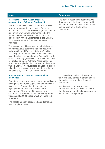| <b>Issue</b>                                                                                                                                                                                                                                                                                                                                                                                                                                                                                                                                                                | <b>Resolution</b>                                                                        |
|-----------------------------------------------------------------------------------------------------------------------------------------------------------------------------------------------------------------------------------------------------------------------------------------------------------------------------------------------------------------------------------------------------------------------------------------------------------------------------------------------------------------------------------------------------------------------------|------------------------------------------------------------------------------------------|
| <b>4. Housing Revenue Account (HRA)</b><br>appropriation of General Fund assets                                                                                                                                                                                                                                                                                                                                                                                                                                                                                             | The correct accounting treatment was<br>discussed with the finance team and the          |
| General Fund assets with a value of £2.1 million<br>were appropriated by the Housing Revenue<br>Account for use as Council Dwellings at a value of<br>£1.4 million, which was determined to be the<br>market value of the assets. The £0.7 million<br>difference in value had remained in the General<br>Fund assets balance. This treatment was<br>incorrect.                                                                                                                                                                                                              | relevant adjustments were made in the<br>audited version of the financial<br>statements. |
| The assets should have been impaired down to<br>the market value before the transfer occurred,<br>reducing General Fund assets by £0.7 million.<br>Following the transfer to HRA the assets should<br>have then been revalued under Existing Use Value<br>- Social Housing (EUV-SH), in line with the Code<br>of Practice on Local Authority Accounting. This<br>would have applied a discount factor to the market<br>value transfer. This revaluation adjustment did not<br>take place and would have reduced the value of<br>the assets by £0.6 million to £0.8 million. |                                                                                          |
| E. Annato undan sanaturatian sanitalisasi                                                                                                                                                                                                                                                                                                                                                                                                                                                                                                                                   | This was dissussed with the finance                                                      |

#### **5. Assets under construction capitalised incorrectly**

One of the assets selected as part of our additions testing was incorrectly capitalised as an addition as a review of supporting documentation highlighted that this asset was still under construction. The value of this asset was £1.7 million. Depreciation had been charged on this asset of £0.034 million which will need to be written back.

The asset had been capitalised and depreciated as a completed asset.

This was discussed with the finance team and they agreed to amend this in the audited version of the financial statements.

Assets capitalised in year should be subject to a thorough review to ensure that these are completed assets prior to depreciation being charged.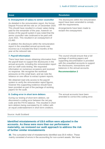| <b>Issue</b>                                                                                                                                                                                                                                                                                                                                                                                                                           | <b>Resolution</b>                                                                                                                                                                                                   |
|----------------------------------------------------------------------------------------------------------------------------------------------------------------------------------------------------------------------------------------------------------------------------------------------------------------------------------------------------------------------------------------------------------------------------------------|---------------------------------------------------------------------------------------------------------------------------------------------------------------------------------------------------------------------|
| 6. Overpayment of salary to senior councillor<br>As detailed in the remuneration report, the former<br>Depute Provost left the role on 14 December 2020.<br>This should have resulted in a lower salary being<br>paid for the remainder of the year, however on<br>review of the payroll system it was noted that the<br>senior councillor rate continued to be paid until<br>June 2021. This resulted in an overpayment of<br>£3,460. | The disclosures within the remuneration<br>report have been amended to comply<br>with the requirements.<br>Arrangements have been made to<br>reclaim the overpayment.                                               |
| In addition the disclosure within the remuneration<br>report in the unaudited annual accounts was<br>incorrect as it included the final 3 months of the<br>year at the reduced rate.                                                                                                                                                                                                                                                   |                                                                                                                                                                                                                     |
| <b>7. Payroll Information</b>                                                                                                                                                                                                                                                                                                                                                                                                          | The council should ensure that a full                                                                                                                                                                               |
| There have been issues obtaining information from<br>the payroll team to support the disclosures in the<br>annual accounts, including the remuneration report<br>and our staff costs testing. We requested<br>information on numerous occasions and received<br>no response. We recognise the workload<br>pressures on this small team, and we note the<br>reliance on one officer to extract system reports.                          | package of working papers and<br>supporting documentation is provided<br>with the unaudited accounts to support<br>the disclosures, transactions and<br>balances in the annual accounts.<br><b>Recommendation 2</b> |
| We obtained read only access to the payroll<br>system to verify the remuneration report figures,<br>however this supporting evidence should have<br>been provided as part of the package of working<br>papers for the audit.                                                                                                                                                                                                           |                                                                                                                                                                                                                     |
| 8. Coding error in short term debtors                                                                                                                                                                                                                                                                                                                                                                                                  | The annual accounts have been                                                                                                                                                                                       |
| During our testing of short term debtors, we<br>discovered a coding error between the net pay<br>code and the PAYE balance. This resulted in short<br>term debtors being overstated by £1 million with<br>an equal understatement in short term creditors.                                                                                                                                                                             | amended to correct this coding error.                                                                                                                                                                               |
|                                                                                                                                                                                                                                                                                                                                                                                                                                        |                                                                                                                                                                                                                     |

### Source: Audit Scotland

# **Identified misstatements of £8.6 million were adjusted in the accounts. As these were more than our performance materiality, we reviewed our audit approach to address the risk of further similar misstatements**

**30.** The cumulative total of misstatements identified was £8.6 million. These mainly consisted of errors in the accounting for non-current assets. We have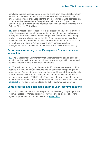concluded that the misstatements identified arose from issues that have been isolated and identified in their entirety and do not indicate further systemic error. The net impact of adjusting for the errors identified was to decrease total comprehensive income in the Comprehensive Income and Expenditure Statement by £5.4 million and to decrease net assets and total reserves in the Balance Sheet by £5.4 million.

**31.** It is our responsibility to request that all misstatements, other than those below the reporting threshold are corrected, although the final decision on making the correction lies with those charged with governance considering advice from senior officers and materiality. There was one unadjusted error above our reporting threshold. In the Cash Flow Statement there is a £0.115 million balancing figure in "Other receipts from financing activities". Management have not adjusted for this item as it is well below materiality.

### **Performance reporting in the Management Commentary was incomplete**

**32.** The Management Commentary that accompanies the annual accounts should clearly explain how the council has performed against its budget and how this is reconciled to the financial statements.

**33.** The reduced reporting requirements for 2019/20 annual accounts did not apply to the 2020/21 annual accounts and full performance reporting in the Management Commentary was required this year. Almost all the non-financial performance indicators in the Management Commentary in the unaudited accounts were missing 2020/21 data. These indicators were updated in the audited annual accounts but some performance data was still unavailable. See [paragraph 84](#page-26-0) for our recommendation on public performance reporting.

#### **Some progress has been made on prior year recommendations**

**34.** The council has made some progress in implementing our prior year audit recommendations. Workload pressures have delayed progress of several agreed improvement actions as detailed in [Appendix 1.](#page-29-0)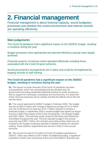# <span id="page-14-0"></span>**2. Financial management**

Financial management is about financial capacity, sound budgetary processes and whether the control environment and internal controls are operating effectively.

# **Main judgements**

The Covid-19 pandemic had a significant impact on the 2020/21 budget, resulting in revisions during the year.

Budget processes were appropriate and planned efficiency savings were largely achieved.

Financial systems of internal control operated effectively including those associated with the Covid-19 grant schemes.

Sound procurement arrangements are in place and could be strengthened by keeping records of staff training.

# **The Covid-19 pandemic had a significant impact on the 2020/21 budget, resulting in revisions during the year**

**35.** The impact on public finances of the Covid-19 pandemic has been unprecedented, which has necessitated both the Scottish and UK governments providing substantial additional funding for public services as well as support for individuals, businesses and the economy. It is likely that further financial measures will be needed and that the effects will be felt well into the future.

**36.** The council approved its 2020/21 budget in February 2020. The budget was set at £283.4 million with Change Programme savings of £10.2 million and use of General Fund reserves of £4.7 million required to achieve a balanced budget. In September 2020 a revised budget was agreed by Angus Council in light of the impact of the Covid-19 pandemic. The revised budget was £291 million. This was kept under review by the Policy and Resources Committee throughout the year. The final reported budget in the annual accounts was £305.7 million; this includes accounting entries which are not included in the budget monitoring reported to elected members for decision making. These statutory adjustments are set out in Note 5 in the annual accounts.

**37.** The council incurred £13.9 million of Covid-19 related expenditure in 2020/21, which was offset by £25.4 million of additional funding, a significant proportion of which was announced at the end of the 2020/21 financial year.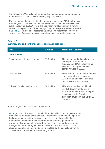The remaining £11.6 million of Covid funding has been earmarked for use in future years with over £5 million already fully committed.

**38.** This unspent funding contributed to expenditure being £14.9 million less than budgeted on services in 2020/21. While the council remained within its overall budget for 2020/21, there are significant variations in how different services have performed. The more significant underspends are summarised in [Exhibit 3.](#page-15-0) The receipt of additional Covid funding meant that some of the planned use of reserves was not needed and was returned to reserves.

<span id="page-15-0"></span>**Exhibit 3**

#### **Summary of significant under/overspends against budget**

| <b>Area</b>                           | £ million    | <b>Reason for variance</b>                                                                                                                                                                |
|---------------------------------------|--------------|-------------------------------------------------------------------------------------------------------------------------------------------------------------------------------------------|
| <b>Underspends</b>                    |              |                                                                                                                                                                                           |
| Education and Lifelong Learning       | £8.0 million | This underspend relates largely to<br>underspends for Early Year<br>expansion and Pupil Equity Fund.<br>These will be ring-fenced and<br>carried forward to 21/22.                        |
| <b>Other Services</b>                 | £2.2 million | The main areas of underspend here<br>relate to employee slippage of<br>£0.7 million and delays in change<br>fund projects of £0.5 million                                                 |
| <b>Children, Families and Justice</b> | £1.3 million | This related partly to additional<br>Scottish Government grant of<br>£0.5 million and reduced transport<br>costs as a result of service<br>disruption caused by the Covid-19<br>pandemic. |

#### Source: Angus Council 2020/21 Annual Accounts

**39.** Angus Council also paid out £34 million of Covid-19 support grants on an agency basis on behalf of the Scottish Government. This does not impact on the financial statements of the council and has been disclosed in the management commentary. We reported on the council's governance arrangements and control framework for these Covid support grants in our management letter of August 2021. Our conclusion was that appropriate governance arrangements had been put in place by the council and that the controls were operating effectively during 2020/21.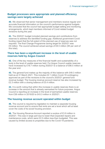### **Budget processes were appropriate and planned efficiency savings were largely achieved**

**40.** We observed that senior management and members receive regular and accurate financial information on the council's performance against budgets. We concluded that the council had appropriate budget setting and monitoring arrangements, which kept members informed of Covid related budget revisions during the year.

**41.** The 2020/21 budget included planned savings and contributions from reserves to address the identified funding gap. Additional government Covid funding meant that the full extent of this planned use of reserves was not required. The final Change Programme saving target for 2020/21 was £9 million. The council achieved actual savings of £8.5 million (95 per cent of this total).

### **There has been a significant increase in the level of usable reserves held by Angus Council**

**42.** One of the key measures of the financial health and sustainability of a body is the level of usable reserves held. For Angus Council usable reserves have increased by £18.7 million during 2020/21 to a balance of £66.5 million at the year end.

**43.** The general fund makes up the majority of this balance with £49.3 million held as at 31 March 2021. This includes £2.1 million Covid-19 contingency approved as part of the revisions to the council's 2020/21 general fund revenue budget. The housing revenue account reserve has also increased by £2.3 million with a closing balance of £5.4 million.

**44.** It is worth noting that within this increase in usable reserves there is an increase in the amount that is already earmarked for future purposes. Angus Council is reporting an increase in the level of earmarked usable reserves from £36 million in 2019/20 to £43.3 million in 2020/21.

### **The housing revenue account operated within budget**

**45.** The council is required by legislation to maintain a separate housing revenue account and to ensure that rents are set a level which will at least cover the costs of its social housing provision.

**46.** The Housing Revenue Account reported a surplus of £3.9 million in 2020/21. This was in large part due to lower-than-expected repairs and maintenance costs, which were £2.5 million less than budgeted. This was caused by limited access to properties due to the Covid-19 pandemic.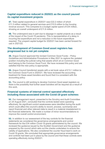# **Capital expenditure reduced in 2020/21 as the council paused its capital investment projects**

**47.** Total capital expenditure in 2020/21 was £22.2 million of which £11.3 million related to general services and £10.9 million to the housing revenue account. This compares to a budget capital spend of £34 million, showing an overall underspend of £11.8 million.

**48.** The underspend was in part due to slippage in capital projects as a result of the impact of the Covid-19 pandemic. This is representative of a delay in incurring the expenditure and not a reduction in the future expenditure required. The unspent capital budget for 2020/21 has been carried forward for use in 2021/22.

# **The development of Common Good asset registers has progressed but is not yet complete**

**49.** Angus Council approved the revised Common Good Funds – Policy Guidelines and Administrative Procedures in May 2021 to capture the updated position including the judicial ruling that assets which sit on Common Good land belong to the Common Good Fund. We have reviewed this policy and are satisfied that the new policy is appropriate.

**50.** Angus Council transferred assets with a net book value of £13.1 million to the Common Good Fund in 2020/21. We have reviewed the accounting treatment for these asset transfers and found that it is consistent with the accounting policy.

**51.** The council is still working to develop Common Good asset registers so there is the possibility that further asset transfers will be required as a result of this work.

# **Financial systems of internal control operated effectively including those associated with the Covid-19 grant schemes**

**52.** Our management report, presented to the Scrutiny and Audit Committee on 24 August 2021, concluded that the controls tested were operating effectively. No significant control weaknesses were identified during the audit which could affect the council's ability to record, process, summarise and report financial and other relevant data to result in a material misstatement in the financial statements. We made a number of minor recommendations to improve the overall control environment.

**53.** In addition to our assessment of the key controls for the financial statements we considered the governance arrangements and control framework for the £34 million Covid-19 grants administered by the council. We reviewed the guidance issued by the Scottish Government and the guidance prepared by the council which sets out the checks undertaken to ensure the validity of applications. We also considered the counter fraud team's work on Covid-19 grants. We concluded that appropriate governance arrangements and controls had been put in place by the council and that these controls were operating effectively during 2020/21.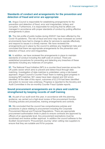# **Standards of conduct and arrangements for the prevention and detection of fraud and error are appropriate**

**54.** Angus Council is responsible for establishing arrangements for the prevention and detection of fraud, error and irregularities, bribery and corruption. Furthermore, it is responsible for ensuring that its affairs are managed in accordance with proper standards of conduct by putting effective arrangements in place.

**55.** The risk profile of public bodies during 2020/21 has been affected by the Covid-19 pandemic. The risk of fraud and error may have increased as control environments have had to change to allow for services to operate effectively and respond to issues in a timely manner. We have reviewed the arrangements put in place by the council to address any heightened risks and concluded that there are appropriate arrangements for the prevention and detection of fraud, error and irregularities.

**56.** In addition, we have reviewed the arrangements in place to maintain standards of conduct including the staff code of conduct. There are established procedures for preventing and detecting any breaches of these standards including any instances of corruption.

**57.** The National Fraud Initiative (NFI) is a counter-fraud exercise across the UK public sector which aims to prevent and detect fraud through data matching. Investigation of data matches is undertaken using a risk-based approach. Angus Council's Counter Fraud Team is making good progress in reviewing NFI matches: 561 cases have been cleared and 322 errors identified. At the date of this report, outcomes of £2,319 had been identified and action to recover was underway. Progress is reported to the Scrutiny and Audit Committee in the six-monthly Counter Fraud Update reports.

# **Sound procurement arrangements are in place and could be strengthened by keeping records of staff training**

<span id="page-18-0"></span>**58.** As part of our audit work this year, in accordance with the planning guidance, we carried out a high-level review of the procurement function including policies and procedures, training arrangements and controls.

**59.** We concluded that the council has comprehensive policies and procedures in place relating to procurement including the Corporate Procurement Manual and Financial Regulations. There are appropriate procurement authorisation limits in place to ensure contracts are approved by officers of an appropriate level. Any procurement exemptions must be scrutinised and receive written approval. In addition the council adheres to the Scottish Government's 'Procurement Journey' when vetting new suppliers to ensure that they are suitable and fit for purpose.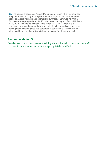<span id="page-19-0"></span>**60.** The council produces an Annual Procurement Report which summarises the procurement activity for the year such as analysis of contracts awarded, spend analysis by service and exemptions awarded. There was no Annual Procurement Report produced for 2019/20 due to the impact of Covid19. Data for 2019/20 is due to be included in the report for 2020/21 when this is produced. However the council does not hold detailed records of procurement training that has taken place at a corporate or service level. This should be introduced to ensure that training is kept up to date for all relevant staff.

# **Recommendation 3**

Detailed records of procurement training should be held to ensure that staff involved in procurement activity are appropriately qualified.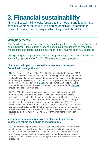# <span id="page-20-0"></span>**3. Financial sustainability**

Financial sustainability looks forward to the medium and long term to consider whether the council is planning effectively to continue to deliver its services or the way in which they should be delivered.

# **Main judgements**

The Covid-19 pandemic has had a significant impact on the short-term finances of Angus Council. Medium term financial plans have been updated to reflect the impact of the pandemic, but the longer-term impact has not been fully assessed.

Change programme plans were able to progress despite the Covid-19 pandemic and savings programmes for 2021/22 are making good progress.

# **The financial impact of the Covid-19 pandemic on Angus Council will be significant**

**61.** The Finance & Change Plan 2021-2024 identified a budget gap of £11.3 million for 2021/22. The main causes of the funding gap are budget pressures relating to pay inflation and increased demand on services. The funding gap is to be mainly addressed by a combination of Change Programme savings and the use of reserves as shown in [Exhibit 4.](#page-21-0) The council tax freeze incentive grant and an anticipated increase in the council tax base ('other' in [Exhibit 4\)](#page-21-0) should close the remaining gap.

**62.** The 2021/22 budget was agreed by the council at its 4 March 2021 meeting. It was set excluding Covid-19 costs as there was insufficient information and clarity at that time on potential costs and funding and it was agreed that budget revisions would be undertaken during 2021/22. Budget revisions of £2.6 million were agreed by the council in June 2021. These revisions included additional Covid related costs of £6.9 million, Covid related savings of £0.1 million and £4.2 million additional government funding for specific purposes; a net impact of £2.6 million. These additional costs can be covered by the £5.7 million of Covid-19 Government funding received in 2021/22.

# **Medium term financial plans are in place and have been updated to reflect the impact of the pandemic**

**63.** The financial impact of the Covid-19 pandemic on Angus Council is likely to extend across several years. It may include a reduction in income from business rates and council tax non-payments as well as a reduction in fees and charges in areas such as leisure, public transport and parking. Bodies may also face increased costs such as higher staff costs to cover the delivery of services.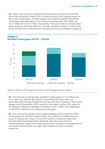**64.** Angus Council has a medium-term financial plan in place until 2023/24 which was refreshed in March 2021 to take account of the ongoing impact of the Covid-19 pandemic. A further update was recently agreed in November. The budget gaps identified by the Finance & Change Plan 2021-2024 are £12.7 million and £10.5 million respectively. The council plans to bridge these gaps mostly by delivering efficiency savings, possible increase in Council Tax levels and the use of reserves from the general fund as illustrated in [Exhibit 4.](#page-21-0)



#### <span id="page-21-0"></span>**Exhibit 4 Identified funding gaps 2021/22 – 2023/24**

Source: *Finance & Change Plan 2021-24 and Budget Report 285/21*

**65.** The Finance & Change Plan identified funding gaps of £1.6 million and £1.9 million for 2022/23 and 2023/24 respectively that were still to be addressed after Change Programme savings and use of reserves. The council agreed at its 9 September 2021 meeting to set aside a further £5.0 million to the Reserve Drawdown Strategy increasing it to £6.0 million and extending it to 2024/25 to address any remaining funding gaps.

<span id="page-21-1"></span>**66.** The most recent medium term budget strategy is also predicting further funding gaps into 2024/25 however there are currently no detailed plans in place to address this. Angus Council will continue to develop longer term financial planning arrangements alongside other key areas such as transformational change and workforce planning. Progress on development of a long-term financial plan has again been delayed by other workload pressures.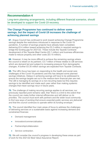# **Recommendation 4**

Long-term planning arrangements, including different financial scenarios, should be developed to support the Covid-19 recovery.

# **The Change Programme has continued to deliver some savings, but the impact of Covid-19 increases the challenge of achieving planned savings**

**67.** Angus Council has continued to work toward achieving Change Programme savings despite the restrictions introduced in response to the Covid-19 pandemic. A number of savings projects have already been completed, delivering £0.4 million toward achieving the £5.2 million in required savings to bridge the funding gap for 2021/22. These include the Tayside Contracts' development of the Tayside Meal Centre (£0.1 million) and business efficiencies made to reduce property and other costs (£0.15 million).

**68.** However, it may be more difficult to achieve the remaining savings where the council is reliant on its partners. £3.7 million of these relates to IJB services which are demand led and subject to increasing pressure from demographic changes. A further £0.35 million savings are expected from Tayside Contracts.

**69.** The IJB's focus has been on responding to the health and social care challenges of the Covid-19 pandemic and this has delayed some planned savings initiatives. Delays in achieving savings will have to be addressed to ensure the savings targets set out in the medium-term financial plan are met. The IJB is managing its savings on a non-recurring basis but this requires savings to be identified and made each year rather than making systemic changes that mean savings recur in future years.

**70.** The challenge of making recurring savings applies to all services; our previously reported point remains valid, that "*there is a limit to the extent that the council can make further internal efficiencies and still deliver on its priorities. The council must work with partners and the wider local community to find new ways of working that ensure essential public services are delivered and that the council continues to operate within its funding envelope.*"

**71.** The council identified four main areas of focus to address the challenges of delivering services on a sustainable basis against increasing demand and constrained finances:

- Demand management
- Innovation/commercialisation
- Partnership/collaboration
- Service contraction.

**72.** We will consider the council's progress in developing these areas as part of work for the 2021/22 Best Value Assurance Report.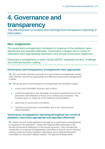# <span id="page-23-0"></span>**4. Governance and**

# **transparency**

The effectiveness of scrutiny and oversight and transparent reporting of information

# **Main Judgements**

The governance arrangements introduced in response to the pandemic were appropriate and operated effectively. Governance changes due to Covid-19 restrictions were appropriately disclosed in the Annual Governance Statement.

Governance arrangements in place during 2020/21 supported scrutiny, challenge and informed decision making.

# **Governance and transparency arrangements were appropriate**

**73.** Our previously reported conclusions on governance arrangements remain valid, that the council has appropriate and effective governance arrangements in place.

**74.** The governance and transparency arrangements we consider include:

- council and committee structure and conduct
- overall arrangements and standards of conduct including those for the prevention and detection of fraud, error, bribery and corruption. This includes action in response to the National Fraud Initiative
- openness of council and committees
- reporting of performance and whether this is fair, balanced and understandable.

# **Governance arrangements operating throughout the Covid-19 pandemic have been appropriate and operated effectively**

**75.** Angus Council made significant changes to its governance arrangements in response to the pandemic. These were appropriately disclosed in the Annual Governance Statement in the annual accounts. They included the introduction of a Special Arrangements Committee to ensure council decision making continued during lockdown restrictions, and a Special Education Committee for education related matters. The Special Arrangements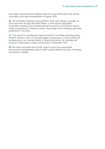Committee met three times between April and June 2020 before the normal committee cycle was re-established in August 2020.

**76.** All committee meetings during 2020/21 were held virtually, originally via Zoom and then through Microsoft Teams, a more secure application. Committee meetings were livestreamed to the public on YouTube to ensure timely transparency in decision making. Recordings of the meetings were also published on YouTube.

**77.** The council is considering a hybrid model for committee meetings going forward; however, this is in the early stages of discussion. Public access and transparency is an important factor in these discussions. All meetings will continue to take place virtually until at least 31 December 2021.

**78.** We have concluded that overall, Angus Council has appropriate governance arrangements in place which support effective scrutiny, challenge and decision making.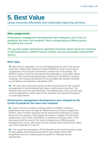# <span id="page-25-0"></span>**5. Best Value**

Using resources effectively and continually improving services.

# **Main judgements**

Performance management developments were delayed by the Covid-19 pandemic but have now restarted. Work is progressing at differing paces throughout the council.

The council's public performance reporting should be clearer about the outcomes of self-assessment, external scrutiny reviews and any associated improvement actions.

# **Best value**

**79.** Best value is assessed over the audit appointment as part of the annual audit work. A Best Value Assurance Report (BVAR) for each council will be considered by the Accounts Commission at least once in this period. The BVAR for Angus Council is now planned for publication in June 2022, before the end of the current audit appointment. Planning for the BVAR is currently underway, with scoping discussions for this arranged with elected members, council officers and partners in November 2021.

**80.** The best value audit work carried out this year focussed on the council's arrangements for demonstrating best value in performance reporting. The findings of this work are reported below. The effectiveness of the council's best value arrangements in other areas will be assessed and reported throughout our audit appointment.

# **Performance management developments were delayed by the Covid-19 pandemic but have now restarted**

**81.** Angus Council is currently working toward its ambition of being a performance-led council through its 'Performance-Led Council' programme (PLED), which includes reviewing service performance indicators to ensure these are fit for purpose. This programme started in October 2019 but was paused due to the Covid-19 pandemic; it restarted in February 2021. From discussions with the council, this work is progressing at differing paces throughout the council, with some services making more progress than others due to the demands of Covid-19.

**82.** The council has developed a PLED SharePoint site which includes a suite of video guides and training documents for each stage of the PLED programme to act as a training aide and guide for individual service departments.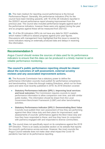**83.** The main medium for reporting council performance is the Annual Performance Report. Generally, the performance indicators (PIs) for the council have been trending upwards, with 16 of the 26 indicators reported in the 2020/21 annual performance report showing improvement from the previous year. The council also included performance targets against each of the performance indicators, however these were only agreed during the year and so progress against these will be measured from 2021/22.

<span id="page-26-0"></span>**84.** 10 of the 26 indicators (38%) do not have any data for 20/21 available, which makes it difficult to assess progress against prior year figures. Discussions with management have highlighted that this issue is caused by some indicators relying on externally produced data and delays in receiving this information.

# **Recommendation 5**

Angus Council should review the sources of data used for its performance indicators to ensure that this data can be produced in a timely manner to aid in reliable performance monitoring.

# **The council's public performance reporting should be clearer about the outcomes of self-assessment, external scrutiny reviews and any associated improvement actions.**

**85.** The Accounts Commission has a statutory power to define the performance information councils must publish for performance comparisons and benchmarking. It does this through making Directions, which run for three years and were most recently published in 2018. Its 2018 Direction covered:

- **Statutory Performance Indicator (SPI) 1: Improving local services and local outcomes** The Commission requires councils to report performance information to allow comparison over time, and with similar public bodies. This information should be drawn from the Local Government Benchmark Framework (LGBF) and other benchmarking activities.
- **Statutory Performance Indicator (SPI) 2: Demonstrating Best Value** Councils must publish their own assessment of how they are performing against their Best Value duty and their plans for improvement; audit assessments of councils' performance against the Best Value duty and how they have responded to these; and how they have (in conjunction with partners) engaged with and responded to diverse communities.

**86.** The council does not specifically report on its compliance against the 2018 SPI Direction. There is an easily accessible section on its website that reports the council's performance across services. However, like most councils the Angus Council website does not make clear what impact the Covid-19 pandemic has had on its performance reporting.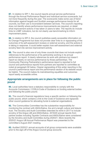**87.** In relation to SPI 1, the council reports annual service performance through the Annual Performance Report and individual service scorecards, but not more frequently during the year. The scorecards make some use of trend information against targets and Scottish average performance trends for all councils, but their use is inconsistent between services. The council's reporting does not identify where performance improvements are required, or detail what improvement actions it has taken or plans to take. The reports do include links to LGBF indicators, but do not clearly use benchmarking to inform improvement plans.

**88.** In relation to SPI 2, the council publishes easily accessible information on its Change Programme but does not provide clear links to or signposting of the outcomes of its self-assessment reviews or external scrutiny, and the actions it is taking in response. It could better explain how self-assessment and external scrutiny feed into service improvement activity.

**89.** The council is also one of only three councils that does not include explicit references to the performance of its partnership working in its annual performance report. It clearly references its work with partners but doesn't report so clearly on service performance by those partnerships. The Community Planning Partnership's performance report is reported to full council and performance reports from partners are reported to committee as noted at paragraph 92 below. Clearer signposting of this wider reporting in the council's performance report and the performance section of its website would be helpful. The council makes its mainstreaming equalities and outcomes report easily accessible online.

### **Appropriate arrangements are in place for following the public pound**

**90.** Local authorities have a statutory responsibility to comply with the Accounts Commission / COSLA Code of Guidance on funding external bodies and following the public pound.

**91.** The council's financial regulations have a specific section on following the public pound, which contains a link to the Code of Guidance and signposts other council guidance for allocating funds to external organisations.

**92.** The Communities Committee has the substantive responsibility for monitoring the contract with ANGUSalive, the arm's-length culture and leisure trust. The Scrutiny and Audit Committee extended its remit in 2017 to include scrutiny of the Angus IJB and ANGUSalive. 2019/20 annual reports from partner bodies including Tayside Contracts and ANGUSalive were considered by the Scrutiny and Audit Committee during 2020/21. More recently the 2020/21 Angus IJB Annual Performance Report was presented to the committee's August 2021 meeting.

**93.** Audited 2020/21 annual accounts of all group components were available prior to the sign-off of the Angus Council group accounts.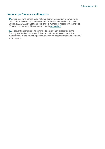## **National performance audit reports**

**94.** Audit Scotland carries out a national performance audit programme on behalf of the Accounts Commission and the Auditor General for Scotland. During 2020/21, Audit Scotland published a number of reports which may be of interest to the body. These are outlined in [Appendix 3.](#page-40-0)

**95.** Relevant national reports continue to be routinely presented to the Scrutiny and Audit Committee. This often includes an assessment from management of the council's position against the recommendations contained in the reports.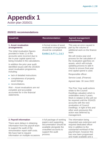and made available and a

# <span id="page-29-0"></span>**Appendix 1** Action plan 2020/21

# **2020/21 recommendations**

| <b>Issue/risk</b>                                                                                                                                                                                                                                                                                                                                                                                                                                                                                                                                                        | <b>Recommendation</b>                                                                                                                 | <b>Agreed management</b><br>action/timing                                                                                                                                                                                                                                                                                                                                                                                                                                                                                                                                                                                                                                                                                                       |
|--------------------------------------------------------------------------------------------------------------------------------------------------------------------------------------------------------------------------------------------------------------------------------------------------------------------------------------------------------------------------------------------------------------------------------------------------------------------------------------------------------------------------------------------------------------------------|---------------------------------------------------------------------------------------------------------------------------------------|-------------------------------------------------------------------------------------------------------------------------------------------------------------------------------------------------------------------------------------------------------------------------------------------------------------------------------------------------------------------------------------------------------------------------------------------------------------------------------------------------------------------------------------------------------------------------------------------------------------------------------------------------------------------------------------------------------------------------------------------------|
| 1. Asset revaluation<br>arrangements<br>The initial revaluation figures<br>provided in Note 11 of the<br>accounts were incorrect due to<br>the in-year capital spend not<br>being included in the calculations.<br>In addition the prior year audit<br>identified issues with the 2019/20<br>asset revaluation programme,<br>including:<br>lack of detailed instructions<br>completeness of property<br>asset listings<br>reconciliations.<br>$\bullet$<br>Risk – Asset revaluations are not<br>complete and accurately<br>accounted for in the financial<br>statements. | A formal review of asset<br>revaluation arrangements<br>should be completed.<br>Exhibit 2 & PY 1, 2 & 3                               | This was an error caused in<br>part by the volume of<br>additional work on the finance<br>team.<br>We will review year end<br>process for the calculation of<br>the revaluation gain/loss on<br>assets, which will include<br>updating process to add in<br>checks to ensure final year<br>end capital spend is used.<br>Responsible officer:<br>Service Lead, (Finance)<br>Agreed date: 30 June 2022<br>The Prior Year audit actions<br>relate to the Council<br>Dwellings valuation which is<br>undertaken every 5 years.<br>Work in relation to this will not<br>be required until the 2024/25<br>accounts with the next<br>revaluation of Council<br>Dwellings. In light of this and<br>other work pressures this<br>action was deferred by |
| 2. Payroll information                                                                                                                                                                                                                                                                                                                                                                                                                                                                                                                                                   | A full package of working                                                                                                             | management.<br>The information being                                                                                                                                                                                                                                                                                                                                                                                                                                                                                                                                                                                                                                                                                                            |
| There were delays in obtaining<br>information from the payroll team<br>to support the audit of the<br>remuneration report staff costs.<br>We have had to request<br>information on multiple occasions                                                                                                                                                                                                                                                                                                                                                                    | papers and supporting<br>documentation should be<br>available alongside the<br>unaudited accounts to<br>support the audit<br>process. | requested was extensive and<br>required dedicated officer<br>time in addition to the<br>substantial workload of the<br>payroll team; however this<br>has now been progressed<br>ada augilahla ana                                                                                                                                                                                                                                                                                                                                                                                                                                                                                                                                               |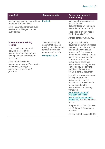# Appendix 1 | 31

| <b>Issue/risk</b>                                                                                                                                                                                                                                                                                               | <b>Recommendation</b>                                                                                                                       | <b>Agreed management</b><br>action/timing                                                                                                                                                                                                                                                                                                                                                                                                                                                                                                                                                                                                                                                           |
|-----------------------------------------------------------------------------------------------------------------------------------------------------------------------------------------------------------------------------------------------------------------------------------------------------------------|---------------------------------------------------------------------------------------------------------------------------------------------|-----------------------------------------------------------------------------------------------------------------------------------------------------------------------------------------------------------------------------------------------------------------------------------------------------------------------------------------------------------------------------------------------------------------------------------------------------------------------------------------------------------------------------------------------------------------------------------------------------------------------------------------------------------------------------------------------------|
| over several weeks, often with no<br>response from the client.<br>Risk – Lack of appropriate audit<br>evidence could impact on the<br>audit opinion.                                                                                                                                                            | <b>Exhibit 2</b>                                                                                                                            | package of working papers<br>and supporting<br>documentation will be made<br>available for the next audit.<br>Responsible officer: Acting                                                                                                                                                                                                                                                                                                                                                                                                                                                                                                                                                           |
|                                                                                                                                                                                                                                                                                                                 |                                                                                                                                             | Senior Payroll Officer                                                                                                                                                                                                                                                                                                                                                                                                                                                                                                                                                                                                                                                                              |
|                                                                                                                                                                                                                                                                                                                 |                                                                                                                                             | Agreed date: 30 June 2022                                                                                                                                                                                                                                                                                                                                                                                                                                                                                                                                                                                                                                                                           |
| 3. Procurement training<br>records<br>The council does not hold<br>detailed records of the<br>procurement training that has<br>taken place at a corporate or<br>service level.<br>Risk-Staff involved in<br>procurement may not have up to<br>date training to support<br>appropriate procurement<br>practices. | The council should<br>ensure that detailed<br>training records are held<br>for staff involved in<br>procurement activity.<br>Paragraph 6019 | Angus Council has a<br>devolved procurement model<br>so training records would be<br>held at a devolved level;<br>however AC is reviewing<br>procurement delivery and as<br>part of that reinstating the<br><b>Corporate Procurement</b><br>Group and a combined<br>procurement training register<br>shall be populated by the<br>members of that group to<br>create a central document.<br>In addition a more structured<br>training program for<br>procurement is being<br>developed centrally and this<br>will be based on the<br>procurement competency<br>framework<br>https://www.gov.scot/<br>publications/scottish-<br>procurement-competency-<br>framework/ to identify training<br>needs. |
|                                                                                                                                                                                                                                                                                                                 |                                                                                                                                             | Responsible officer: (Service<br>Lead), Legal & Democratic<br><b>Services</b>                                                                                                                                                                                                                                                                                                                                                                                                                                                                                                                                                                                                                       |
|                                                                                                                                                                                                                                                                                                                 |                                                                                                                                             | Agreed date: 31 August 2022                                                                                                                                                                                                                                                                                                                                                                                                                                                                                                                                                                                                                                                                         |
|                                                                                                                                                                                                                                                                                                                 |                                                                                                                                             |                                                                                                                                                                                                                                                                                                                                                                                                                                                                                                                                                                                                                                                                                                     |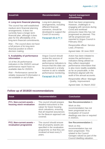# Appendix 1 | 32

| <b>Issue/risk</b>                                                                                                                                                                                                                                                               | <b>Recommendation</b>                                                                                                                                                                                                                        | <b>Agreed management</b><br>action/timing                                                                                                                                                                                                             |
|---------------------------------------------------------------------------------------------------------------------------------------------------------------------------------------------------------------------------------------------------------------------------------|----------------------------------------------------------------------------------------------------------------------------------------------------------------------------------------------------------------------------------------------|-------------------------------------------------------------------------------------------------------------------------------------------------------------------------------------------------------------------------------------------------------|
| 4. Long-term financial planning<br>The council has well established<br>medium-term financial planning<br>arrangements. It does not<br>currently have a longer-term<br>financial plan, although it does<br>plan for the affordability of its<br>long-term financial commitments. | Long-term planning<br>arrangements, including<br>different financial<br>scenarios, should be<br>developed to support the<br>Covid-19 recovery.<br>Paragraph 66 & PY 4                                                                        | Work has been progressing.<br>However, challenges in<br>engaging with services during<br>Covid and workload<br>pressures mean this has not<br>progressed as planned. This<br>will be progressed and<br>reported to Angus Council in<br>February 2022. |
| Risk - The council does not have<br>a full picture of its long-term<br>financial position to inform<br>decision making.                                                                                                                                                         |                                                                                                                                                                                                                                              | Responsible officer: Service<br>Lead, (Finance)<br>Agreed date: 30 June 2022                                                                                                                                                                          |
| 5. Availability of performance<br>information<br>10 of the 26 performance<br>indicators in the 2020/21 annual<br>performance report have no<br>available data for 2020/21.                                                                                                      | <b>Angus Council should</b><br>review the sources of<br>data used for its<br>performance indicators to<br>ensure that this data can<br>be produced in a timely<br>manner to aid in reliable<br>performance monitoring.<br>Paragraph 84 & PY8 | Action has been initiated to<br>review the performance<br>indicators being utilised so<br>they reflect meaningful<br>performance information that<br>is also more readily available,                                                                  |
| Risk – Performance cannot be<br>reliably measured if information is<br>not available or out of date.                                                                                                                                                                            |                                                                                                                                                                                                                                              | as far as practicable, in the<br>timeframe aligned with the<br>audit of the annual accounts.<br>Responsible officer: Manager                                                                                                                          |

- Quality, Improvement

Agreed date: 31 March 2022

# **Follow up of 2019/20 recommendations**

| <b>Issue</b>                                                  | <b>Recommendation</b>                                                                                                                                                                            | <b>Conclusion</b>                                                                                                                                                                        |
|---------------------------------------------------------------|--------------------------------------------------------------------------------------------------------------------------------------------------------------------------------------------------|------------------------------------------------------------------------------------------------------------------------------------------------------------------------------------------|
| <b>PY1. Non-current assets -</b><br>housing stock revaluation | The council should prepare<br>detailed instructions to the<br>valuer for future housing<br>stock valuations, ensuring<br>that all required assurances<br>for the Beacon approach are<br>covered. | <b>See Recommendation 1</b><br>Work on this<br>recommendation has not<br>been progressed as no<br>revaluation of Council<br>dwellings was due or required<br>in 2020/21.                 |
| <b>PY2. Non-current assets -</b><br>revaluation programme     | The council should ensure<br>that all property assets are<br>specified in the revaluation<br>programme so that they are<br>revalued at least every 5<br>years.                                   | <b>See Recommendation 1</b><br>Work on this<br>recommendation has not<br>been progressed. This<br>related to the Council<br>Garages valued as part of the<br>Council dwelling valuation. |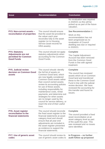| <b>Issue</b>                                                                                     | <b>Recommendation</b>                                                                                                                                                                                                                                                                                                                                                                                                                                                               | <b>Conclusion</b>                                                                                                                                                                                                                                                        |
|--------------------------------------------------------------------------------------------------|-------------------------------------------------------------------------------------------------------------------------------------------------------------------------------------------------------------------------------------------------------------------------------------------------------------------------------------------------------------------------------------------------------------------------------------------------------------------------------------|--------------------------------------------------------------------------------------------------------------------------------------------------------------------------------------------------------------------------------------------------------------------------|
|                                                                                                  |                                                                                                                                                                                                                                                                                                                                                                                                                                                                                     | No revaluation was required<br>in 2020/21 so this will be<br>picked up as part of the future<br>valuation.                                                                                                                                                               |
| <b>PY3. Non-current assets -</b><br>reconciliation of properties                                 | The council should ensure<br>that the asset list provided to<br>the valuer each year<br>reconciles fully to the asset<br>register (or to Housing<br>Service asset records for<br>HRA assets).                                                                                                                                                                                                                                                                                       | <b>See Recommendation 1</b><br>Work on this<br>recommendation has not<br>been progressed as no<br>revaluation of Council<br>dwelling was due or required<br>in 2020/21.                                                                                                  |
| <b>PY4. Statutory</b><br><b>Adjustments are not</b><br>permitted for Common<br><b>Good Funds</b> | The council should not apply<br>statutory adjustments when<br>accounting for the Common<br>Good Funds.                                                                                                                                                                                                                                                                                                                                                                              | <b>Complete</b><br>The Capital Adjustment<br>Account has been removed<br>from the Common Good<br>Funds in line with agreed<br>treatment.                                                                                                                                 |
| <b>PY5. Judicial review</b><br>decision on Common Good<br>assets                                 | The council should: identify<br>the full list of assets on<br>Common Good land, which<br>are now legally considered<br>Common Good assets rather<br>than council owned assets;<br>review its accounting policies<br>for use of these assets,<br>including responsibility for<br>maintenance costs, rental<br>payments; and determine exit<br>strategies for when assets<br>are no longer used by the<br>council for service delivery, or<br>reach the end of their useful<br>lives. | <b>Complete</b><br>The council has reviewed<br>assets which sit on Common<br>Good land and transferred<br>these to the Common Good<br>Fund in line with the judicial<br>review decision. We have<br>reviewed the accounting for<br>this transfer and found no<br>issues. |
| <b>PY6. Asset register</b><br>reconciliation to the<br>financial statements                      | The council should reconcile<br>the fixed asset register to the<br>financial statements at asset<br>category level and should<br>ensure that all year-end<br>adjustments are included in<br>the asset register presented<br>as evidence to support the<br>financial statements.                                                                                                                                                                                                     | <b>Complete</b><br>The council provided a fixed<br>asset reconciliation at an<br>asset category level as part<br>of the audit this year. This<br>was reviewed and no issues<br>were identified.                                                                          |
| <b>PY7. Use of generic asset</b><br>codes                                                        | The council should review its<br>use of generic asset codes to                                                                                                                                                                                                                                                                                                                                                                                                                      | In Progress - no further<br>audit follow up proposed                                                                                                                                                                                                                     |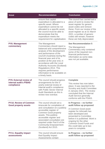| <b>Issue</b>                                                           | <b>Recommendation</b>                                                                                                                                                                                                                                                                                                                                                                                         | <b>Conclusion</b>                                                                                                                                                                                                                                                                                       |
|------------------------------------------------------------------------|---------------------------------------------------------------------------------------------------------------------------------------------------------------------------------------------------------------------------------------------------------------------------------------------------------------------------------------------------------------------------------------------------------------|---------------------------------------------------------------------------------------------------------------------------------------------------------------------------------------------------------------------------------------------------------------------------------------------------------|
|                                                                        | ensure that capital<br>expenditure is allocated to a<br>specific asset. Where<br>expenditure cannot be not<br>allocated to a specific asset,<br>the council must be able to<br>demonstrate that the<br>expenditure meets the<br>requirement for capitalisation.                                                                                                                                               | The council has carried out a<br>piece of work to review the<br>asset register for generic<br>asset codes and remove<br>these. From our review of the<br>asset register as at 31 March<br>2021, a number of generic<br>codes still remain; however<br>these are fully depreciated.                      |
| <b>PY8. Management</b><br>commentary                                   | The Management<br>Commentary should report a<br>balanced and comprehensive<br>analysis of the development<br>and performance of the<br>council's business during the<br>financial year and of its<br>position at the year end, in<br>accordance with the Local<br><b>Authority Accounts (Scotland)</b><br>Regulations 2014. This<br>requires performance<br>information to be available on<br>a timely basis. | <b>See Recommendation 5</b><br>The Management<br>Commentary only contained<br>some of the required non-<br>financial performance<br>information as some data<br>was not yet available.                                                                                                                  |
| <b>PY9. External review of</b><br>internal audit's PSIAS<br>compliance | The council should progress<br>arrangements for the 5-<br>yearly external review of<br>internal audit's compliance<br>with Public Sector Internal<br>Audit Standards as this is<br>review now overdue.                                                                                                                                                                                                        | <b>Complete</b><br>This review has now taken<br>place. It was reported to the<br><b>Scrutiny and Audit Committee</b><br>in January 2021. The review<br>concluded that the Internal<br><b>Audit Service generally</b><br>conforms with the PSIAS.                                                        |
| <b>PY10. Review of Common</b><br><b>Good property assets</b>           | The council should set a<br>timescale for compilation of<br>and consultation on a publicly<br>accessible register of<br><b>Common Good property</b><br>assets. This publicly<br>accessible register and<br>associated consultation are<br>required under Part 8 of the<br><b>Community Empowerment</b><br>(Scotland) Act 2015.                                                                                | In Progress – no further<br>audit follow up proposed<br>A Common Good asset<br>register for Arbroath has<br>been developed and<br>presented to Committee<br>before it is published. Work is<br>ongoing for the other<br><b>Common Good Funds and</b><br>this could take up to two<br>years to complete. |
| <b>PY11. Equality impact</b><br>assessments                            | The council should ensure<br>that Equality Impact<br>Assessments contain                                                                                                                                                                                                                                                                                                                                      | In Progress – no further<br>audit follow up proposed                                                                                                                                                                                                                                                    |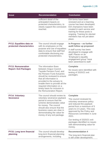| <b>Issue</b>                                                 | <b>Recommendation</b>                                                                                                                                                                                                                                                                                                           | <b>Conclusion</b>                                                                                                                                                                                                                                                                                                                                  |
|--------------------------------------------------------------|---------------------------------------------------------------------------------------------------------------------------------------------------------------------------------------------------------------------------------------------------------------------------------------------------------------------------------|----------------------------------------------------------------------------------------------------------------------------------------------------------------------------------------------------------------------------------------------------------------------------------------------------------------------------------------------------|
|                                                              | sufficient detail of the<br>anticipated impacts on<br>protected characteristics, to<br>clearly support the conclusion<br>reached.                                                                                                                                                                                               | EIA forms have been<br>renewed and an e-learning<br>course has been developed.<br>EIA champions have been<br>created in each service and<br>training for these posts is<br>ongoing. Training for elected<br>members has not yet taken<br>place.                                                                                                    |
| <b>PY12. Equalities data on</b><br>protected characteristics | The council should engage<br>with its employees on the<br>purpose and use of equalities<br>data to ensure that staff feel<br>comfortable disclosing any<br>protected characteristics.                                                                                                                                           | In Progress – no further<br>audit follow up proposed<br>A staff survey has been<br>developed to engage with<br>staff. Places on an<br>'Employee's equality<br>engagement group' have<br>been advertised to staff.                                                                                                                                  |
| <b>PY13. Remuneration</b><br><b>Report: Exit Packages</b>    | The information flows<br>between Angus Council,<br>Tayside Pension Fund, and<br>the Pension Fund Actuaries<br>should be reviewed to ensure<br>that all information is<br>provided to the actuary to<br>enable them to provide all the<br>required information on a<br>timely basis for inclusion in<br>the Remuneration Report. | <b>Complete</b><br>No issues were identified with<br>testing of 2020/21 exit<br>packages.                                                                                                                                                                                                                                                          |
| <b>PY14. Voluntary</b><br><b>Severance</b>                   | The council should review its<br>voluntary severance payback<br>period to ensure that the<br>scheme demonstrates value<br>for money. The council<br>should also ensure that the<br>business cases are clear in<br>demonstrating the value for<br>money of any exit package.                                                     | <b>Complete</b><br>The council reviewed its<br>voluntary severance policy<br>and reduced the payback<br>period from a maximum of 5<br>years to 2.5 years. This was<br>approved by the Policy and<br>Resources committee in June<br>2021.<br>Our testing of 2020/21 exit<br>packages identified no issues<br>with demonstrating value for<br>money. |
| <b>PY15. Long term financial</b><br>planning                 | The council should develop<br>long term financial planning<br>arrangements, including                                                                                                                                                                                                                                           | <b>Recommendation 4</b><br>The long-term financial plan<br>is still under development.                                                                                                                                                                                                                                                             |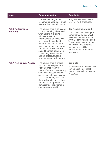| <b>Issue</b>                          | <b>Recommendation</b>                                                                                                                                                                                                                                                                                                                                                                        | <b>Conclusion</b>                                                                                                                                                                                                                                                                 |
|---------------------------------------|----------------------------------------------------------------------------------------------------------------------------------------------------------------------------------------------------------------------------------------------------------------------------------------------------------------------------------------------------------------------------------------------|-----------------------------------------------------------------------------------------------------------------------------------------------------------------------------------------------------------------------------------------------------------------------------------|
|                                       | scenario planning, to be<br>prepared for a range of future<br>levels of funding and income.                                                                                                                                                                                                                                                                                                  | Progress has been delayed<br>by other work pressures.                                                                                                                                                                                                                             |
| <b>PY16. Performance</b><br>reporting | The council should be clearer<br>in demonstrating where and<br>what actions it is taking to<br>address areas for<br>improvement. Services also<br>need to understand their<br>performance data better and<br>how it can be used to support<br>improvement. The council<br>should be more transparent<br>in reporting the outcomes<br>against objectives/goals<br>when reporting performance. | <b>See Recommendation 5</b><br>The council has developed<br>performance targets which<br>were included in the 2020/21<br>Annual Performance Report.<br>These targets are to be met<br>by 2021/22 and progress<br>against these will be<br>measured and reported for<br>next year. |
| <b>PY17. Non-Current Assets</b>       | The council should ensure<br>that services keep finance<br>staff informed when the<br>status of assets changes, e.g.<br>when new assets become<br>operational; old assets cease<br>to be operational; assets are<br>declared surplus and put on<br>the market; or approved for<br>demolition; or transferred to<br>community ownership.                                                      | <b>Complete</b><br>No issues were identified with<br>communication of asset<br>status changes in our testing<br>in 2020/21.                                                                                                                                                       |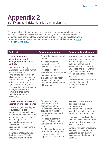# <span id="page-36-0"></span>**Appendix 2**

Significant audit risks identified during planning

The table below sets out the audit risks we identified during our planning of the audit and how we addressed each risk in arriving at our conclusion. The risks are categorised between those where there is a risk of material misstatement in the annual accounts and those relating our wider responsibility under the [Code](http://www.audit-scotland.gov.uk/report/code-of-audit-practice-2016)  [of Audit Practice 2016.](http://www.audit-scotland.gov.uk/report/code-of-audit-practice-2016)

#### **1. Risk of material misstatement due to management override of controls**

International Auditing Standards (ISAs) require that audits are planned to consider the risk of material misstatement in the financial statements caused by fraud, which is presumed to be a significant risk in any audit. This includes consideration of management override of controls to change the financial statements disclosures.

- Detailed testing of journal entries.
- Assessment of the appropriateness of accounting estimates.
- Focused testing of accruals and prepayments.
- Identification and evaluation of significant transactions that are outside the normal course of business.

#### **Audit risk Assurance procedure Results and conclusions**

**Results:** We did not identify any significant issues within our work on journals. Our testing of accruals and prepayments did not identify any errors and there were no significant transactions outside the normal course of business.

**Conclusion:** No issues were identified that indicate management override of controls

#### **2. Risk of error in areas of estimation and judgements**

There is a significant degree of subjectivity in the measurement and valuation of the material account areas of non-current assets and pension figures. This subjectivity represents an increased risk of misstatement in the financial statements.

A material uncertainty was disclosed in the 2019/20 accounts over non-current

- Assess the scope, independence and competence of the professionals engaged in providing estimates for non-current assets and pensions.
- Focused substantive testing of classification and valuation of non-current assets.
- Establish and assess the arrangements for getting assurances over the impact of Covid19 on the

**Results:** No issues were identified with the competence and independence of experts providing valuations for noncurrent assets and pensions.

Issues were noted with the valuation calculations for noncurrent assets and have now been corrected.

Material valuation uncertainty has been disclosed in the accounts for non-current assets due to the impact of Covid-19.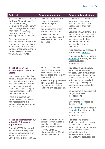| <b>Audit risk</b>                                                                                                                                                                                                                                                                                                                                                                                                                                                         | <b>Assurance procedure</b>                                                                                                                                                                                                                                   | <b>Results and conclusions</b>                                                                                                                                                                                                                                                                                                                                                                                                                                                                                                             |
|---------------------------------------------------------------------------------------------------------------------------------------------------------------------------------------------------------------------------------------------------------------------------------------------------------------------------------------------------------------------------------------------------------------------------------------------------------------------------|--------------------------------------------------------------------------------------------------------------------------------------------------------------------------------------------------------------------------------------------------------------|--------------------------------------------------------------------------------------------------------------------------------------------------------------------------------------------------------------------------------------------------------------------------------------------------------------------------------------------------------------------------------------------------------------------------------------------------------------------------------------------------------------------------------------------|
| asset valuations as a result of<br>the Covid-19 pandemic. The<br>council has a rolling<br>programme of valuations with<br>specific categories revalued<br>each year. For 2020/21<br>coastal schools and office<br>buildings are being revalued.<br>Given some categories of<br>assets have not been subject<br>to valuation since the impact<br>of Covid-19, there is a risk of<br>material uncertainty over non-<br>current asset valuations in<br>the 2020/21 accounts. | accuracy of non-current<br>assets not subject to<br>valuation in year.<br>Assess the<br>$\bullet$<br>appropriateness of the<br>actuarial assumptions.<br>Review the actual<br>$\bullet$<br>experience of significant<br>estimates made in the<br>prior year. | No issues were identified in<br>our review of actuarial<br>assumptions or with the<br>experience of prior year<br>estimates.<br><b>Conclusion: An 'emphasis of</b><br>matter' paragraph has been<br>included in the independent<br>auditor's report to draw<br>attention to the increased<br>uncertainty in property<br>valuations.<br>Audit adjustments processed<br>as detailed in Exhibit 2.<br>A recommendation is made in<br>Appendix 1 to strengthen the<br>asset revaluations<br>arrangements.                                      |
| 3. Risk of incorrect<br>accounting for non-current<br>assets<br>Our 2019/20 audit identified<br>material misstatements in the<br>accounting for non-current<br>assets including the valuation<br>of council dwellings and<br>issues when reconciling the<br>fixed asset register to the<br>financial statements.<br>There is a risk that non-<br>current asset accounting is<br>incorrect resulting in a<br>material misstatement in the<br>2020/21 accounts.             | • Focused substantive<br>testing of non-current<br>asset transactions to<br>ensure these are correctly<br>accounted for.<br>Review of appropriateness<br>$\bullet$<br>of year-end fixed asset<br>register reconciliations<br>including any adjustments.      | <b>Results:</b> As noted above,<br>issues were identified with<br>the calculation of revaluation<br>adjustments in the accounts.<br>We also noted one asset<br>which had been classified<br>incorrectly as a completed<br>asset which was still under<br>construction.<br>No issues were identified with<br>the year-end asset<br>reconciliations.<br><b>Conclusion: Audit</b><br>adjustments processed as<br>detailed in Exhibit 2.<br>A recommendation is made in<br>Appendix 1 to strengthen the<br>asset revaluations<br>arrangements. |
| 4. Risk of misstatement due<br>to Covid-19 disclosure<br>requirements<br>During 2020/21 the council<br>has administered significant<br>Covid-19 support grants on<br>behalf of the Scottish<br>Government in excess of £35                                                                                                                                                                                                                                                | Review further technical<br>$\bullet$<br>guidance when available<br>and discuss with the<br>council's finance team.<br>• Review Covid-19<br>disclosures in the 2020/21<br>annual accounts for                                                                | <b>Results: The original</b><br>disclosures made in relation<br>to the Covid-19 support<br>grants paid out on an agency<br>basis were not detailed<br>enough to meet the<br>requirements of LASAAC<br>guidance. We discussed the                                                                                                                                                                                                                                                                                                           |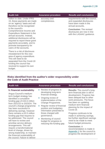| <b>Audit risk</b>                                                                                                                                                                                                                                                         | <b>Assurance procedure</b>    | <b>Results and conclusions</b>                                                                          |
|---------------------------------------------------------------------------------------------------------------------------------------------------------------------------------------------------------------------------------------------------------------------------|-------------------------------|---------------------------------------------------------------------------------------------------------|
| million to date, Under IFRS<br>15, these payments are made<br>on an 'agency' basis and will<br>therefore not be recognised                                                                                                                                                | accuracy and<br>completeness. | requirements with the council,<br>and expanded disclosures<br>have been made in the<br>annual accounts. |
| in the council's<br>Comprehensive Income and<br><b>Expenditure Statement in the</b><br>annual accounts. Instead,<br>additional disclosures will be<br>required to report these grant<br>payments accurately, and to<br>promote transparency for<br>users of the accounts. |                               | <b>Conclusion: The revised</b><br>disclosures are now in line<br>with the LASAAC guidance.              |
| There is a risk of disclosure<br>misstatement for this new<br>area of agency expenditure.<br>This will need to be<br>separated from the Covid-19<br>funding the council has<br>received to support its own                                                                |                               |                                                                                                         |

# **Risks identified from the auditor's wider responsibility under the Code of Audit Practice**

budget.

| <b>Audit risk</b>                                                                                                                                                                                                                                                                                                                                                                                                                                                                                                                                                                                                          | <b>Assurance procedure</b>                                                                                                                                                                                                                                                                                                                                                      | <b>Results and conclusions</b>                                                                                                                                                                                                                                                                                                                                                                                                                                                                                                     |
|----------------------------------------------------------------------------------------------------------------------------------------------------------------------------------------------------------------------------------------------------------------------------------------------------------------------------------------------------------------------------------------------------------------------------------------------------------------------------------------------------------------------------------------------------------------------------------------------------------------------------|---------------------------------------------------------------------------------------------------------------------------------------------------------------------------------------------------------------------------------------------------------------------------------------------------------------------------------------------------------------------------------|------------------------------------------------------------------------------------------------------------------------------------------------------------------------------------------------------------------------------------------------------------------------------------------------------------------------------------------------------------------------------------------------------------------------------------------------------------------------------------------------------------------------------------|
| 5. Financial sustainability<br>Angus Council's medium-<br>term budget strategy has<br>identified a cumulative<br>funding gap of £34.6 million<br>from 2021/22 to 2023/24. The<br>council's change programme<br>has been successful in<br>delivering savings, however<br>there remains a £3.5 million<br>funding gap that requires to<br>be addressed. The council<br>will have to review and<br>prioritise service delivery<br>arrangements. This will<br>require a transformational<br>level of change, driven by<br>strong leadership, to maintain<br>the financial sustainability of<br>the council. Failure to deliver | • Review of progress in<br>developing long-term<br>financial strategy.<br>• Ongoing review of<br>implementation of the<br>Change Programme.<br>Regular review of financial<br>$\bullet$<br>position and budgetary<br>information presented to<br>those charged with<br>governance.<br>Monitoring of council<br>$\bullet$<br>budget for progress in<br>reducing the funding gap. | <b>Results:</b> The council's long-<br>term financial plan is still in<br>development. Progress has<br>been delayed due to other<br>work pressures. The focus<br>has been on updating<br>medium term financial<br>planning for the impact of<br>Covid-19.<br>Progress continues to be<br>made in achieving savings,<br>but further significant savings<br>need to be made to meet<br>future budget pressures.<br><b>Conclusion: A</b><br>recommendation is made in<br>Appendix 1 for the council to<br>progress the development of |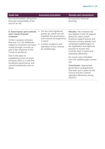#### **Audit risk Assurance procedure Results and conclusions**

this transformation will put the financial sustainability of the council at risk.

its long-term financial planning.

#### **6. Governance and controls over Covid-19 grant schemes**

COSLA analysis indicates that over £1.3 bn additional support to business has been routed through councils as part of the response to the Covid-19 pandemic.

Due to the pace of establishing some of these schemes there is a risk that insufficient governance and control frameworks were in place.

- For the most significant grants (by value) we will establish the governance and controls arrangements in place.
- Confirm existence and operation of key controls by walkthrough.

**Results:** We reviewed the two highest Covid-19 support grants by value (small business support grants and business closure grants) and completed walkthroughs of the application and approval process to ensure key controls were in place and operating effectively.

No issues were identified from the walkthroughs carried out.

**Conclusion:** Appropriate governance arrangements had been put in place by the council and the controls operated effectively during 2020/21.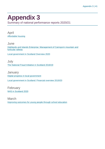# <span id="page-40-0"></span>**Appendix 3**

Summary of national performance reports 2020/21

April [Affordable housing](https://www.audit-scotland.gov.uk/report/affordable-housing)

June [Highlands and Islands Enterprise: Management of Cairngorm mountain and](https://www.audit-scotland.gov.uk/report/highlands-and-islands-enterprise-management-of-cairngorm-mountain-and-funicular-railway)  [funicular railway](https://www.audit-scotland.gov.uk/report/highlands-and-islands-enterprise-management-of-cairngorm-mountain-and-funicular-railway)

[Local government in Scotland Overview 2020](https://www.audit-scotland.gov.uk/report/local-government-in-scotland-overview-2020)

July [The National Fraud Initiative in Scotland 2018/19](https://www.audit-scotland.gov.uk/report/the-national-fraud-initiative-in-scotland-201819)

**January** [Digital progress in local government](https://www.audit-scotland.gov.uk/report/digital-progress-in-local-government) [Local government in Scotland: Financial overview 2019/20](https://www.audit-scotland.gov.uk/report/local-government-in-scotland-financial-overview-201920)

February [NHS in Scotland 2020](https://www.audit-scotland.gov.uk/report/nhs-in-scotland-2020)

March [Improving outcomes for young people through school education](https://www.audit-scotland.gov.uk/report/improving-outcomes-for-young-people-through-school-education)